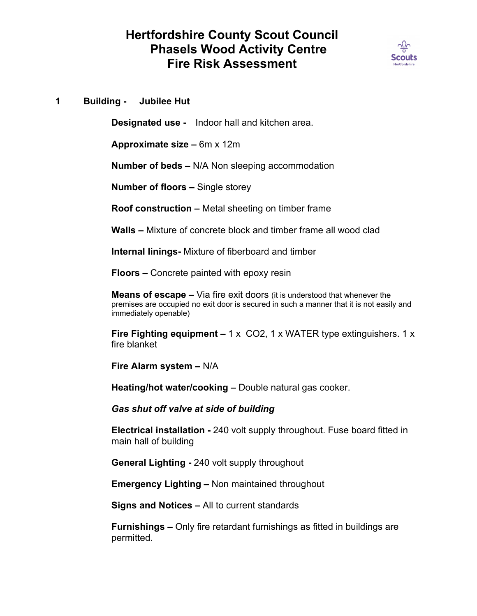## **Hertfordshire County Scout Council Phasels Wood Activity Centre Fire Risk Assessment**



**1 Building - Jubilee Hut**

**Designated use -** Indoor hall and kitchen area.

**Approximate size –** 6m x 12m

**Number of beds –** N/A Non sleeping accommodation

**Number of floors –** Single storey

**Roof construction –** Metal sheeting on timber frame

**Walls –** Mixture of concrete block and timber frame all wood clad

**Internal linings-** Mixture of fiberboard and timber

**Floors –** Concrete painted with epoxy resin

**Means of escape –** Via fire exit doors (it is understood that whenever the premises are occupied no exit door is secured in such a manner that it is not easily and immediately openable)

**Fire Fighting equipment –** 1 x CO2, 1 x WATER type extinguishers. 1 x fire blanket

**Fire Alarm system –** N/A

**Heating/hot water/cooking –** Double natural gas cooker.

*Gas shut off valve at side of building*

**Electrical installation -** 240 volt supply throughout. Fuse board fitted in main hall of building

**General Lighting -** 240 volt supply throughout

**Emergency Lighting –** Non maintained throughout

**Signs and Notices –** All to current standards

**Furnishings –** Only fire retardant furnishings as fitted in buildings are permitted.